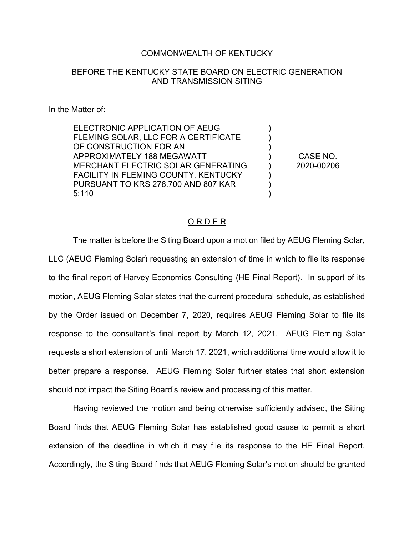### COMMONWEALTH OF KENTUCKY

## BEFORE THE KENTUCKY STATE BOARD ON ELECTRIC GENERATION AND TRANSMISSION SITING

#### In the Matter of:

ELECTRONIC APPLICATION OF AEUG FLEMING SOLAR, LLC FOR A CERTIFICATE OF CONSTRUCTION FOR AN APPROXIMATELY 188 MEGAWATT MERCHANT ELECTRIC SOLAR GENERATING FACILITY IN FLEMING COUNTY, KENTUCKY PURSUANT TO KRS 278.700 AND 807 KAR 5:110

CASE NO. 2020-00206

) ) ) ) ) ) ) )

#### O R D E R

The matter is before the Siting Board upon a motion filed by AEUG Fleming Solar, LLC (AEUG Fleming Solar) requesting an extension of time in which to file its response to the final report of Harvey Economics Consulting (HE Final Report). In support of its motion, AEUG Fleming Solar states that the current procedural schedule, as established by the Order issued on December 7, 2020, requires AEUG Fleming Solar to file its response to the consultant's final report by March 12, 2021. AEUG Fleming Solar requests a short extension of until March 17, 2021, which additional time would allow it to better prepare a response. AEUG Fleming Solar further states that short extension should not impact the Siting Board's review and processing of this matter.

Having reviewed the motion and being otherwise sufficiently advised, the Siting Board finds that AEUG Fleming Solar has established good cause to permit a short extension of the deadline in which it may file its response to the HE Final Report. Accordingly, the Siting Board finds that AEUG Fleming Solar's motion should be granted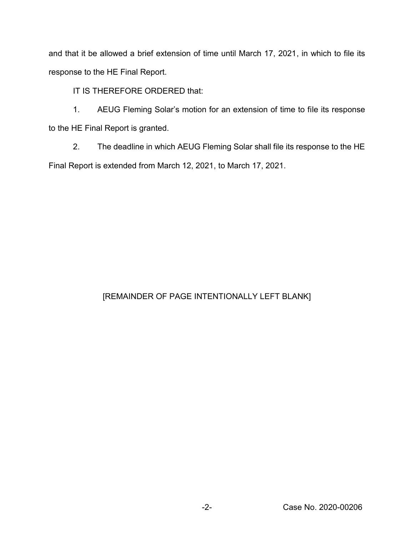and that it be allowed a brief extension of time until March 17, 2021, in which to file its response to the HE Final Report.

IT IS THEREFORE ORDERED that:

1. AEUG Fleming Solar's motion for an extension of time to file its response to the HE Final Report is granted.

2. The deadline in which AEUG Fleming Solar shall file its response to the HE Final Report is extended from March 12, 2021, to March 17, 2021.

# [REMAINDER OF PAGE INTENTIONALLY LEFT BLANK]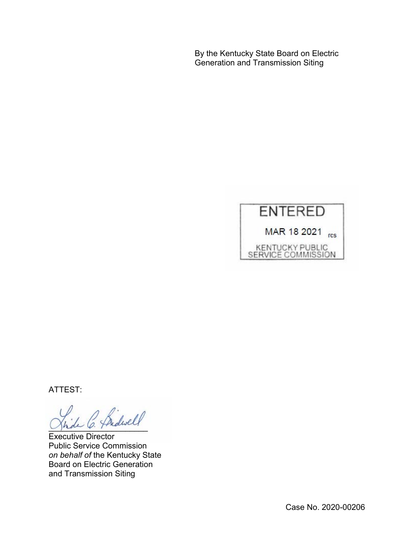By the Kentucky State Board on Electric Generation and Transmission Siting



ATTEST:

- Bidwell

Executive Director Public Service Commission *on behalf of* the Kentucky State Board on Electric Generation and Transmission Siting